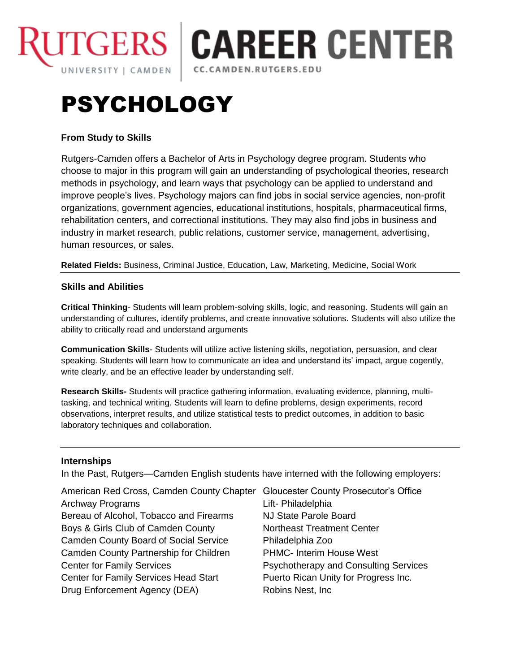

# **CAREER CENTER** CC.CAMDEN.RUTGERS.EDU

# PSYCHOLOGY

# **From Study to Skills**

Rutgers-Camden offers a Bachelor of Arts in Psychology degree program. Students who choose to major in this program will gain an understanding of psychological theories, research methods in psychology, and learn ways that psychology can be applied to understand and improve people's lives. Psychology majors can find jobs in social service agencies, non-profit organizations, government agencies, educational institutions, hospitals, pharmaceutical firms, rehabilitation centers, and correctional institutions. They may also find jobs in business and industry in market research, public relations, customer service, management, advertising, human resources, or sales.

**Related Fields:** Business, Criminal Justice, Education, Law, Marketing, Medicine, Social Work

## **Skills and Abilities**

**Critical Thinking**- Students will learn problem-solving skills, logic, and reasoning. Students will gain an understanding of cultures, identify problems, and create innovative solutions. Students will also utilize the ability to critically read and understand arguments

**Communication Skills**- Students will utilize active listening skills, negotiation, persuasion, and clear speaking. Students will learn how to communicate an idea and understand its' impact, argue cogently, write clearly, and be an effective leader by understanding self.

**Research Skills-** Students will practice gathering information, evaluating evidence, planning, multitasking, and technical writing. Students will learn to define problems, design experiments, record observations, interpret results, and utilize statistical tests to predict outcomes, in addition to basic laboratory techniques and collaboration.

## **Internships**

In the Past, Rutgers—Camden English students have interned with the following employers:

| American Red Cross, Camden County Chapter    | <b>Gloucester County Prosecutor's Office</b> |
|----------------------------------------------|----------------------------------------------|
| Archway Programs                             | Lift- Philadelphia                           |
| Bereau of Alcohol, Tobacco and Firearms      | NJ State Parole Board                        |
| Boys & Girls Club of Camden County           | Northeast Treatment Center                   |
| <b>Camden County Board of Social Service</b> | Philadelphia Zoo                             |
| Camden County Partnership for Children       | PHMC- Interim House West                     |
| <b>Center for Family Services</b>            | Psychotherapy and Consulting Services        |
| <b>Center for Family Services Head Start</b> | Puerto Rican Unity for Progress Inc.         |
| Drug Enforcement Agency (DEA)                | Robins Nest, Inc.                            |
|                                              |                                              |